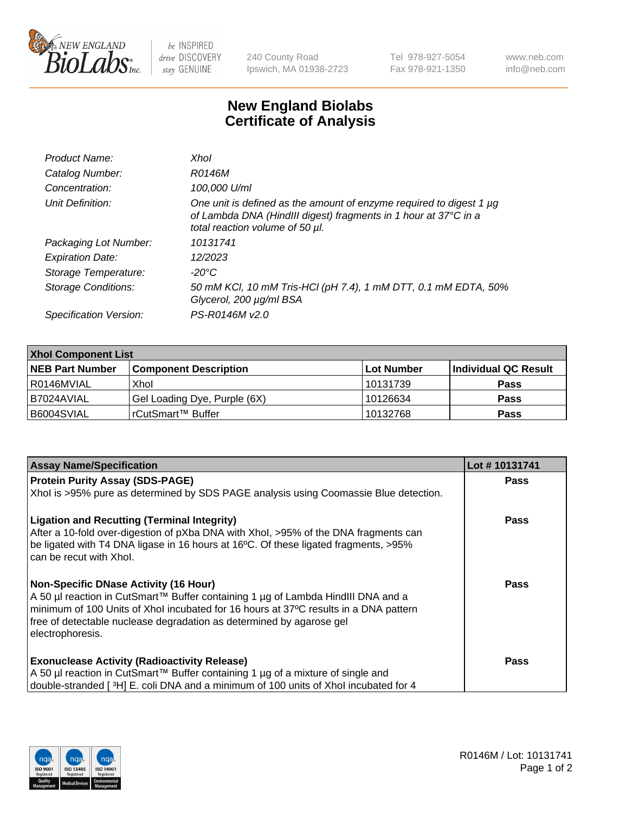

 $be$  INSPIRED drive DISCOVERY stay GENUINE

240 County Road Ipswich, MA 01938-2723 Tel 978-927-5054 Fax 978-921-1350 www.neb.com info@neb.com

## **New England Biolabs Certificate of Analysis**

| Xhol                                                                                                                                                                           |
|--------------------------------------------------------------------------------------------------------------------------------------------------------------------------------|
| R0146M                                                                                                                                                                         |
| 100,000 U/ml                                                                                                                                                                   |
| One unit is defined as the amount of enzyme required to digest 1 $\mu$ g<br>of Lambda DNA (HindIII digest) fragments in 1 hour at 37°C in a<br>total reaction volume of 50 µl. |
| 10131741                                                                                                                                                                       |
| 12/2023                                                                                                                                                                        |
| -20°C                                                                                                                                                                          |
| 50 mM KCl, 10 mM Tris-HCl (pH 7.4), 1 mM DTT, 0.1 mM EDTA, 50%<br>Glycerol, 200 µg/ml BSA                                                                                      |
| PS-R0146M v2.0                                                                                                                                                                 |
|                                                                                                                                                                                |

| <b>Xhol Component List</b> |                              |            |                      |  |  |
|----------------------------|------------------------------|------------|----------------------|--|--|
| <b>NEB Part Number</b>     | <b>Component Description</b> | Lot Number | Individual QC Result |  |  |
| R0146MVIAL                 | Xhol                         | 10131739   | <b>Pass</b>          |  |  |
| I B7024AVIAL               | Gel Loading Dye, Purple (6X) | 10126634   | <b>Pass</b>          |  |  |
| B6004SVIAL                 | rCutSmart™ Buffer            | 10132768   | <b>Pass</b>          |  |  |

| <b>Assay Name/Specification</b>                                                                                                                                                                                                                                                                                      | Lot #10131741 |
|----------------------------------------------------------------------------------------------------------------------------------------------------------------------------------------------------------------------------------------------------------------------------------------------------------------------|---------------|
| <b>Protein Purity Assay (SDS-PAGE)</b>                                                                                                                                                                                                                                                                               | <b>Pass</b>   |
| Xhol is >95% pure as determined by SDS PAGE analysis using Coomassie Blue detection.                                                                                                                                                                                                                                 |               |
| <b>Ligation and Recutting (Terminal Integrity)</b><br>After a 10-fold over-digestion of pXba DNA with Xhol, >95% of the DNA fragments can<br>be ligated with T4 DNA ligase in 16 hours at 16°C. Of these ligated fragments, >95%<br>can be recut with Xhol.                                                          | Pass          |
| <b>Non-Specific DNase Activity (16 Hour)</b><br>A 50 µl reaction in CutSmart™ Buffer containing 1 µg of Lambda HindIII DNA and a<br>minimum of 100 Units of Xhol incubated for 16 hours at 37°C results in a DNA pattern<br>free of detectable nuclease degradation as determined by agarose gel<br>electrophoresis. | Pass          |
| <b>Exonuclease Activity (Radioactivity Release)</b><br>A 50 µl reaction in CutSmart™ Buffer containing 1 µg of a mixture of single and<br>double-stranded [3H] E. coli DNA and a minimum of 100 units of Xhol incubated for 4                                                                                        | Pass          |